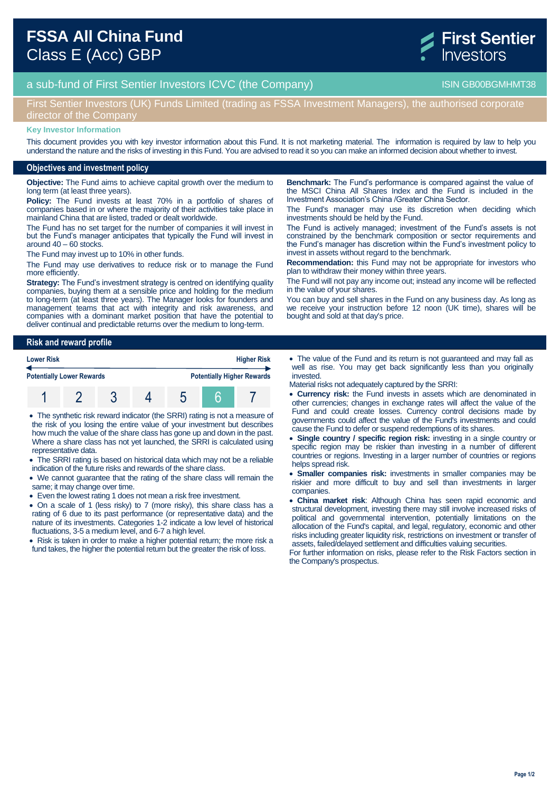



## First Sentier Investors (UK) Funds Limited (trading as FSSA Investment Managers), the authorised corporate director of the Compan

#### **Key Investor Information**

This document provides you with key investor information about this Fund. It is not marketing material. The information is required by law to help you understand the nature and the risks of investing in this Fund. You are advised to read it so you can make an informed decision about whether to invest.

#### **Objectives and investment policy**

**Objective:** The Fund aims to achieve capital growth over the medium to long term (at least three years).

**Policy:** The Fund invests at least 70% in a portfolio of shares of companies based in or where the majority of their activities take place in mainland China that are listed, traded or dealt worldwide.

The Fund has no set target for the number of companies it will invest in but the Fund's manager anticipates that typically the Fund will invest in around 40 – 60 stocks.

The Fund may invest up to 10% in other funds.

The Fund may use derivatives to reduce risk or to manage the Fund more efficiently.

**Strategy:** The Fund's investment strategy is centred on identifying quality companies, buying them at a sensible price and holding for the medium to long-term (at least three years). The Manager looks for founders and management teams that act with integrity and risk awareness, and companies with a dominant market position that have the potential to deliver continual and predictable returns over the medium to long-term.

**Risk and reward profile Lower Risk Higher Risk Potentially Lower Rewards Potentially Higher Rewards** 1 2 3 4 5 6 7

 The synthetic risk reward indicator (the SRRI) rating is not a measure of the risk of you losing the entire value of your investment but describes how much the value of the share class has gone up and down in the past. Where a share class has not yet launched, the SRRI is calculated using representative data.

• The SRRI rating is based on historical data which may not be a reliable indication of the future risks and rewards of the share class.

- We cannot guarantee that the rating of the share class will remain the same; it may change over time.
- Even the lowest rating 1 does not mean a risk free investment.
- On a scale of 1 (less risky) to 7 (more risky), this share class has a rating of 6 due to its past performance (or representative data) and the nature of its investments. Categories 1-2 indicate a low level of historical fluctuations, 3-5 a medium level, and 6-7 a high level.

• Risk is taken in order to make a higher potential return; the more risk a fund takes, the higher the potential return but the greater the risk of loss.

**Benchmark:** The Fund's performance is compared against the value of the MSCI China All Shares Index and the Fund is included in the Investment Association's China /Greater China Sector.

The Fund's manager may use its discretion when deciding which investments should be held by the Fund.

The Fund is actively managed; investment of the Fund's assets is not constrained by the benchmark composition or sector requirements and the Fund's manager has discretion within the Fund's investment policy to invest in assets without regard to the benchmark.

**Recommendation:** this Fund may not be appropriate for investors who plan to withdraw their money within three years.

The Fund will not pay any income out; instead any income will be reflected in the value of your shares.

You can buy and sell shares in the Fund on any business day. As long as we receive your instruction before 12 noon (UK time), shares will be bought and sold at that day's price.

 The value of the Fund and its return is not guaranteed and may fall as well as rise. You may get back significantly less than you originally invested.

Material risks not adequately captured by the SRRI:

- **Currency risk:** the Fund invests in assets which are denominated in other currencies; changes in exchange rates will affect the value of the Fund and could create losses. Currency control decisions made by governments could affect the value of the Fund's investments and could cause the Fund to defer or suspend redemptions of its shares.
- **Single country / specific region risk:** investing in a single country or specific region may be riskier than investing in a number of different countries or regions. Investing in a larger number of countries or regions helps spread risk.
- **Smaller companies risk:** investments in smaller companies may be riskier and more difficult to buy and sell than investments in larger companies.
- **China market risk**: Although China has seen rapid economic and structural development, investing there may still involve increased risks of political and governmental intervention, potentially limitations on the allocation of the Fund's capital, and legal, regulatory, economic and other risks including greater liquidity risk, restrictions on investment or transfer of assets, failed/delayed settlement and difficulties valuing securities.

For further information on risks, please refer to the Risk Factors section in the Company's prospectus.